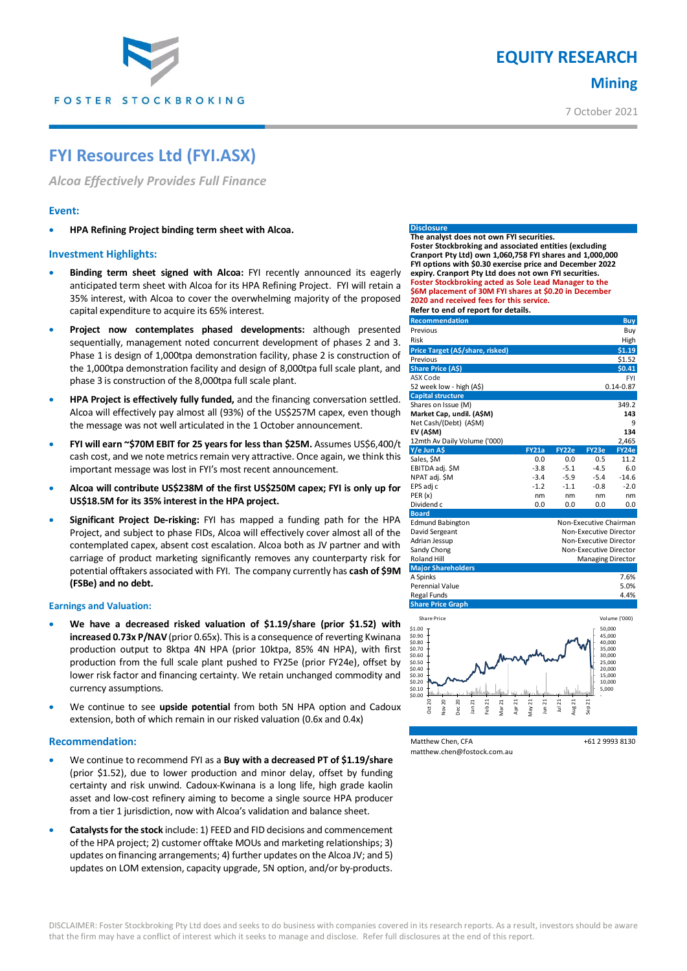

# **EQUITY RESEARCH Mining**

7 October 2021

# **FYI Resources Ltd (FYI.ASX)**

*Alcoa Effectively Provides Full Finance*

## **Event:**

**HPA Refining Project binding term sheet with Alcoa.** 

### **Investment Highlights:**

- **Binding term sheet signed with Alcoa:** FYI recently announced its eagerly anticipated term sheet with Alcoa for its HPA Refining Project. FYI will retain a 35% interest, with Alcoa to cover the overwhelming majority of the proposed capital expenditure to acquire its 65% interest.
- **Project now contemplates phased developments:** although presented sequentially, management noted concurrent development of phases 2 and 3. Phase 1 is design of 1,000tpa demonstration facility, phase 2 is construction of the 1,000tpa demonstration facility and design of 8,000tpa full scale plant, and phase 3 is construction of the 8,000tpa full scale plant.
- **HPA Project is effectively fully funded,** and the financing conversation settled. Alcoa will effectively pay almost all (93%) of the US\$257M capex, even though the message was not well articulated in the 1 October announcement.
- **FYI will earn ~\$70M EBIT for 25 years for less than \$25M.** Assumes US\$6,400/t cash cost, and we note metrics remain very attractive. Once again, we think this important message was lost in FYI's most recent announcement.
- **Alcoa will contribute US\$238M of the first US\$250M capex; FYI is only up for US\$18.5M for its 35% interest in the HPA project.**
- **Significant Project De-risking:** FYI has mapped a funding path for the HPA Project, and subject to phase FIDs, Alcoa will effectively cover almost all of the contemplated capex, absent cost escalation. Alcoa both as JV partner and with carriage of product marketing significantly removes any counterparty risk for potential offtakers associated with FYI. The company currently has **cash of \$9M (FSBe) and no debt.**

### **Earnings and Valuation:**

- **We have a decreased risked valuation of \$1.19/share (prior \$1.52) with increased 0.73x P/NAV** (prior 0.65x). This is a consequence of reverting Kwinana production output to 8ktpa 4N HPA (prior 10ktpa, 85% 4N HPA), with first production from the full scale plant pushed to FY25e (prior FY24e), offset by lower risk factor and financing certainty. We retain unchanged commodity and currency assumptions.
- We continue to see **upside potential** from both 5N HPA option and Cadoux extension, both of which remain in our risked valuation (0.6x and 0.4x)

### **Recommendation:**

- We continue to recommend FYI as a **Buy with a decreased PT of \$1.19/share** (prior \$1.52), due to lower production and minor delay, offset by funding certainty and risk unwind. Cadoux-Kwinana is a long life, high grade kaolin asset and low-cost refinery aiming to become a single source HPA producer from a tier 1 jurisdiction, now with Alcoa's validation and balance sheet.
- **Catalysts for the stock** include: 1) FEED and FID decisions and commencement of the HPA project; 2) customer offtake MOUs and marketing relationships; 3) updates on financing arrangements; 4) further updates on the Alcoa JV; and 5) updates on LOM extension, capacity upgrade, 5N option, and/or by-products.

#### **Disclosu**

**The analyst does not own FYI securities. Foster Stockbroking and associated entities (excluding Cranport Pty Ltd) own 1,060,758 FYI shares and 1,000,000 FYI options with \$0.30 exercise price and December 2022 expiry. Cranport Pty Ltd does not own FYI securities. Foster Stockbroking acted as Sole Lead Manager to the \$6M placement of 30M FYI shares at \$0.20 in December 2020 and received fees for this service. Refer to end of report for details.** 

| Recommendation                          |              |        |                        | <b>Buy</b>    |
|-----------------------------------------|--------------|--------|------------------------|---------------|
| Previous                                |              |        |                        | Buy           |
| Risk                                    |              |        |                        | High          |
| Price Target (A\$/share, risked)        |              |        |                        | \$1.19        |
| Previous                                | \$1.52       |        |                        |               |
| <b>Share Price (A\$)</b>                |              |        |                        | \$0.41        |
| <b>ASX Code</b>                         |              |        |                        | <b>FYI</b>    |
| 52 week low - high (A\$)                |              |        |                        | $0.14 - 0.87$ |
| <b>Capital structure</b>                |              |        |                        |               |
| Shares on Issue (M)                     |              |        |                        | 349.2         |
| Market Cap, undil. (A\$M)               |              |        |                        | 143           |
| Net Cash/(Debt) (A\$M)                  |              |        |                        | 9             |
| EV (A\$M)                               |              |        |                        | 134           |
| 12mth Av Daily Volume ('000)            |              |        |                        | 2,465         |
| Y/e Jun A\$                             | <b>FY21a</b> | FY22e  | FY23e                  | FY24e         |
| Sales, \$M                              | 0.0          | 0.0    | 0.5                    | 11.2          |
| EBITDA adj. \$M                         | $-3.8$       | $-5.1$ | $-4.5$                 | 6.0           |
| NPAT adj. \$M                           | $-3.4$       | $-5.9$ | $-5.4$                 | $-14.6$       |
| EPS adj c                               | $-1.2$       | $-1.1$ | $-0.8$                 | $-2.0$        |
| PER(x)                                  | nm           | nm     | nm                     | nm            |
| Dividend c                              | 0.0          | 0.0    | 0.0                    | 0.0           |
| <b>Board</b>                            |              |        |                        |               |
| <b>Edmund Babington</b>                 |              |        | Non-Executive Chairman |               |
| David Sergeant                          |              |        | Non-Executive Director |               |
| Adrian Jessup                           |              |        | Non-Executive Director |               |
| Sandy Chong                             |              |        | Non-Executive Director |               |
| <b>Roland Hill</b>                      |              |        | Managing Director      |               |
| <b>Major Shareholders</b>               |              |        |                        |               |
| A Spinks                                |              |        |                        | 7.6%          |
| Perennial Value                         |              |        |                        | 5.0%<br>4.4%  |
| Regal Funds<br><b>Share Price Graph</b> |              |        |                        |               |
|                                         |              |        |                        |               |
| Share Price                             |              |        |                        | Volume ('000) |
| \$1.00                                  |              |        | 50,000                 |               |
| \$0.90<br>\$0.80                        |              |        | 45,000<br>40,000       |               |
| \$0.70                                  |              |        | 35,000                 |               |
| \$0.60<br>\$0.50                        |              |        | 30,000<br>25,000       |               |
| 60.40                                   |              |        | 20.000                 |               |



matthew.chen@fostock.com.au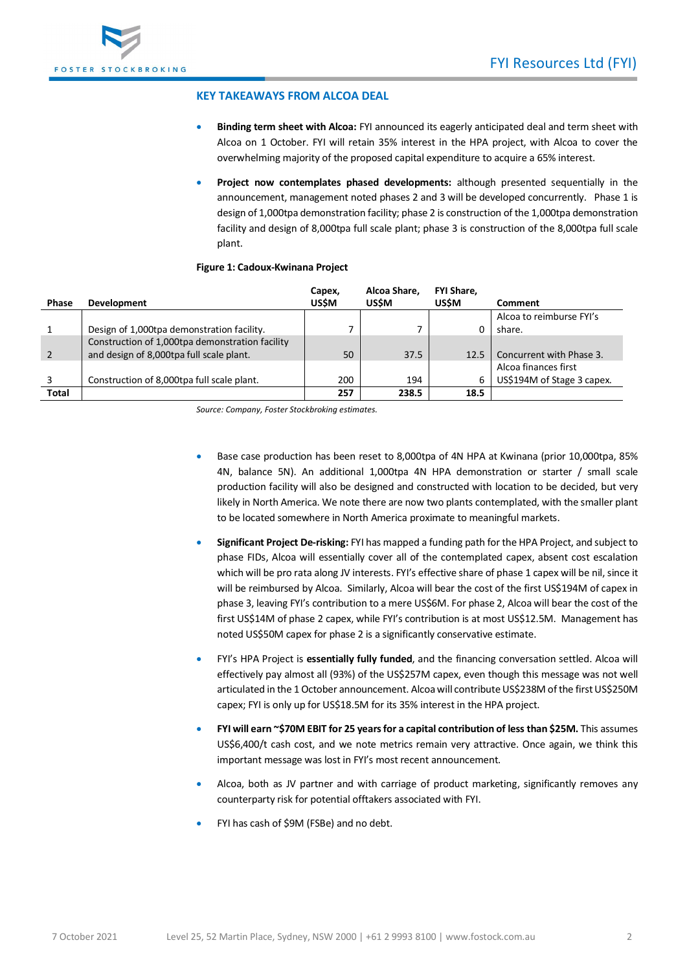

## **KEY TAKEAWAYS FROM ALCOA DEAL**

- **Binding term sheet with Alcoa:** FYI announced its eagerly anticipated deal and term sheet with Alcoa on 1 October. FYI will retain 35% interest in the HPA project, with Alcoa to cover the overwhelming majority of the proposed capital expenditure to acquire a 65% interest.
- **Project now contemplates phased developments:** although presented sequentially in the announcement, management noted phases 2 and 3 will be developed concurrently. Phase 1 is design of 1,000tpa demonstration facility; phase 2 is construction of the 1,000tpa demonstration facility and design of 8,000tpa full scale plant; phase 3 is construction of the 8,000tpa full scale plant.

## **Figure 1: Cadoux-Kwinana Project**

|              |                                                 | Capex,      | Alcoa Share. | <b>FYI Share.</b> |                            |
|--------------|-------------------------------------------------|-------------|--------------|-------------------|----------------------------|
| <b>Phase</b> | <b>Development</b>                              | <b>USSM</b> | <b>USSM</b>  | <b>USŚM</b>       | Comment                    |
|              |                                                 |             |              |                   | Alcoa to reimburse FYI's   |
|              | Design of 1,000tpa demonstration facility.      |             |              | 0                 | share.                     |
|              | Construction of 1,000tpa demonstration facility |             |              |                   |                            |
| 2            | and design of 8,000tpa full scale plant.        | 50          | 37.5         | 12.5              | Concurrent with Phase 3.   |
|              |                                                 |             |              |                   | Alcoa finances first       |
|              | Construction of 8,000tpa full scale plant.      | 200         | 194          | 6                 | US\$194M of Stage 3 capex. |
| Total        |                                                 | 257         | 238.5        | 18.5              |                            |

*Source: Company, Foster Stockbroking estimates.* 

- Base case production has been reset to 8,000tpa of 4N HPA at Kwinana (prior 10,000tpa, 85% 4N, balance 5N). An additional 1,000tpa 4N HPA demonstration or starter / small scale production facility will also be designed and constructed with location to be decided, but very likely in North America. We note there are now two plants contemplated, with the smaller plant to be located somewhere in North America proximate to meaningful markets.
- **Significant Project De-risking:** FYI has mapped a funding path for the HPA Project, and subject to phase FIDs, Alcoa will essentially cover all of the contemplated capex, absent cost escalation which will be pro rata along JV interests. FYI's effective share of phase 1 capex will be nil, since it will be reimbursed by Alcoa. Similarly, Alcoa will bear the cost of the first US\$194M of capex in phase 3, leaving FYI's contribution to a mere US\$6M. For phase 2, Alcoa will bear the cost of the first US\$14M of phase 2 capex, while FYI's contribution is at most US\$12.5M. Management has noted US\$50M capex for phase 2 is a significantly conservative estimate.
- FYI's HPA Project is **essentially fully funded**, and the financing conversation settled. Alcoa will effectively pay almost all (93%) of the US\$257M capex, even though this message was not well articulated in the 1 October announcement. Alcoa will contribute US\$238M of the first US\$250M capex; FYI is only up for US\$18.5M for its 35% interest in the HPA project.
- **FYI will earn ~\$70M EBIT for 25 years for a capital contribution of less than \$25M.** This assumes US\$6,400/t cash cost, and we note metrics remain very attractive. Once again, we think this important message was lost in FYI's most recent announcement.
- Alcoa, both as JV partner and with carriage of product marketing, significantly removes any counterparty risk for potential offtakers associated with FYI.
- FYI has cash of \$9M (FSBe) and no debt.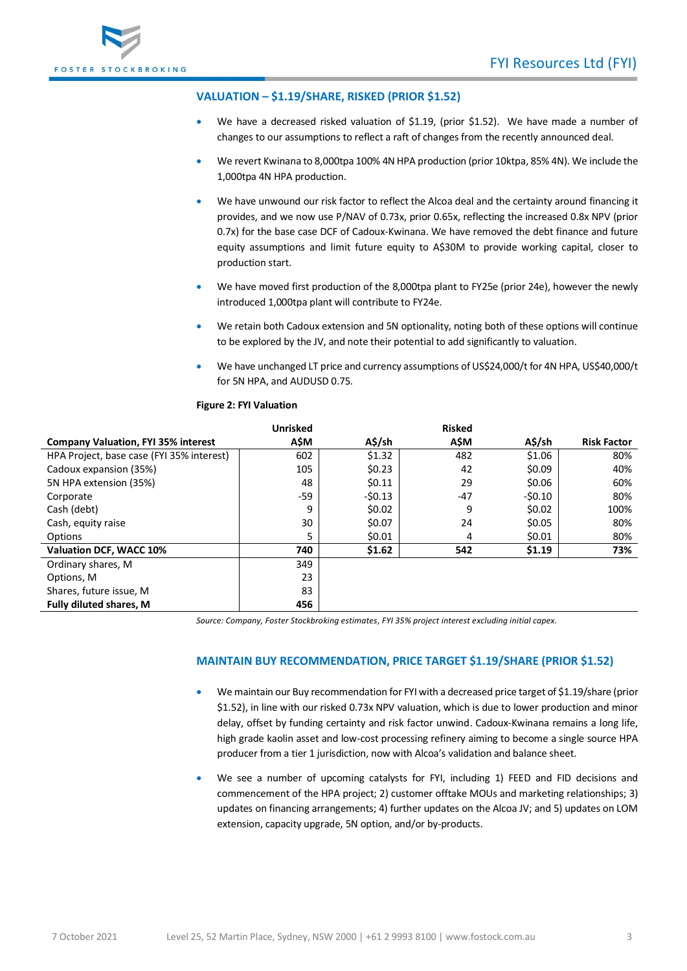

## **VALUATION – \$1.19/SHARE, RISKED (PRIOR \$1.52)**

- We have a decreased risked valuation of \$1.19, (prior \$1.52). We have made a number of changes to our assumptions to reflect a raft of changes from the recently announced deal.
- We revert Kwinana to 8,000tpa 100% 4N HPA production (prior 10ktpa, 85% 4N). We include the 1,000tpa 4N HPA production.
- We have unwound our risk factor to reflect the Alcoa deal and the certainty around financing it provides, and we now use P/NAV of 0.73x, prior 0.65x, reflecting the increased 0.8x NPV (prior 0.7x) for the base case DCF of Cadoux-Kwinana. We have removed the debt finance and future equity assumptions and limit future equity to A\$30M to provide working capital, closer to production start.
- We have moved first production of the 8,000tpa plant to FY25e (prior 24e), however the newly introduced 1,000tpa plant will contribute to FY24e.
- We retain both Cadoux extension and 5N optionality, noting both of these options will continue to be explored by the JV, and note their potential to add significantly to valuation.
- We have unchanged LT price and currency assumptions of US\$24,000/t for 4N HPA, US\$40,000/t for 5N HPA, and AUDUSD 0.75.

|                                            | <b>Unrisked</b> |          | <b>Risked</b> |          |                    |
|--------------------------------------------|-----------------|----------|---------------|----------|--------------------|
| <b>Company Valuation, FYI 35% interest</b> | A\$M            | A\$/sh   | A\$M          | A\$/sh   | <b>Risk Factor</b> |
| HPA Project, base case (FYI 35% interest)  | 602             | \$1.32   | 482           | \$1.06   | 80%                |
| Cadoux expansion (35%)                     | 105             | \$0.23   | 42            | \$0.09   | 40%                |
| 5N HPA extension (35%)                     | 48              | \$0.11   | 29            | \$0.06   | 60%                |
| Corporate                                  | -59             | $-50.13$ | $-47$         | $-50.10$ | 80%                |
| Cash (debt)                                | 9               | \$0.02   | 9             | \$0.02   | 100%               |
| Cash, equity raise                         | 30              | \$0.07   | 24            | \$0.05   | 80%                |
| Options                                    | 5               | \$0.01   | 4             | \$0.01   | 80%                |
| Valuation DCF, WACC 10%                    | 740             | \$1.62   | 542           | \$1.19   | 73%                |
| Ordinary shares, M                         | 349             |          |               |          |                    |
| Options, M                                 | 23              |          |               |          |                    |
| Shares, future issue, M                    | 83              |          |               |          |                    |
| <b>Fully diluted shares, M</b>             | 456             |          |               |          |                    |

*Source: Company, Foster Stockbroking estimates, FYI 35% project interest excluding initial capex.* 

## **MAINTAIN BUY RECOMMENDATION, PRICE TARGET \$1.19/SHARE (PRIOR \$1.52)**

- We maintain our Buy recommendation for FYI with a decreased price target of \$1.19/share (prior \$1.52), in line with our risked 0.73x NPV valuation, which is due to lower production and minor delay, offset by funding certainty and risk factor unwind. Cadoux-Kwinana remains a long life, high grade kaolin asset and low-cost processing refinery aiming to become a single source HPA producer from a tier 1 jurisdiction, now with Alcoa's validation and balance sheet.
- We see a number of upcoming catalysts for FYI, including 1) FEED and FID decisions and commencement of the HPA project; 2) customer offtake MOUs and marketing relationships; 3) updates on financing arrangements; 4) further updates on the Alcoa JV; and 5) updates on LOM extension, capacity upgrade, 5N option, and/or by-products.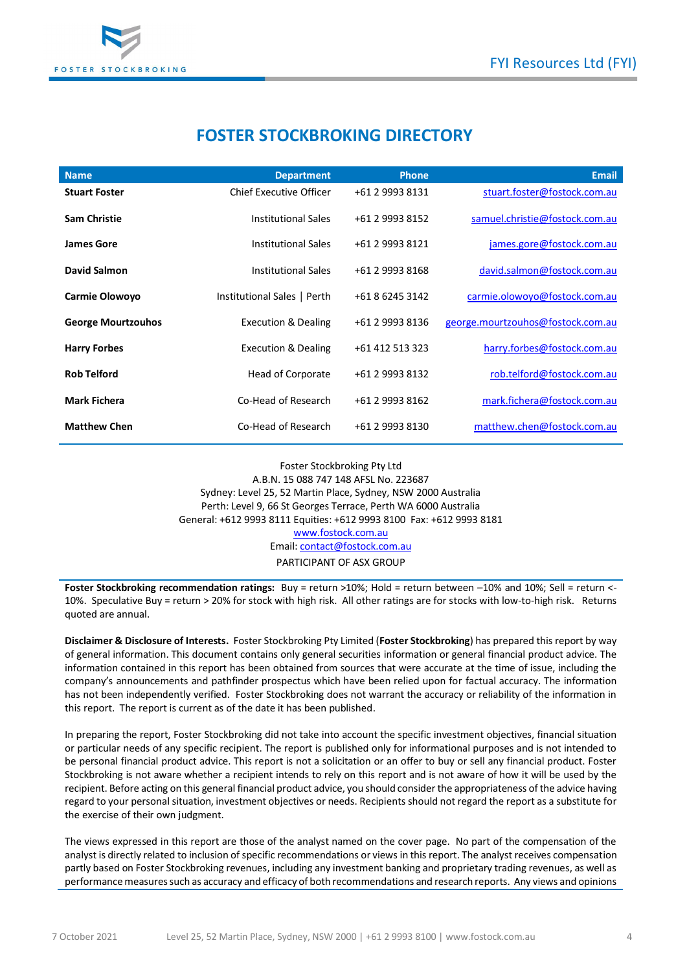

# **FOSTER STOCKBROKING DIRECTORY**

| <b>Name</b>               | <b>Department</b>              | <b>Phone</b>    | <b>Email</b>                      |
|---------------------------|--------------------------------|-----------------|-----------------------------------|
| <b>Stuart Foster</b>      | <b>Chief Executive Officer</b> | +61 2 9993 8131 | stuart.foster@fostock.com.au      |
| <b>Sam Christie</b>       | <b>Institutional Sales</b>     | +61 2 9993 8152 | samuel.christie@fostock.com.au    |
| <b>James Gore</b>         | <b>Institutional Sales</b>     | +61 2 9993 8121 | james.gore@fostock.com.au         |
| David Salmon              | <b>Institutional Sales</b>     | +61 2 9993 8168 | david.salmon@fostock.com.au       |
| <b>Carmie Olowoyo</b>     | Institutional Sales   Perth    | +61 8 6245 3142 | carmie.olowoyo@fostock.com.au     |
| <b>George Mourtzouhos</b> | <b>Execution &amp; Dealing</b> | +61 2 9993 8136 | george.mourtzouhos@fostock.com.au |
| <b>Harry Forbes</b>       | <b>Execution &amp; Dealing</b> | +61 412 513 323 | harry.forbes@fostock.com.au       |
| <b>Rob Telford</b>        | Head of Corporate              | +61 2 9993 8132 | rob.telford@fostock.com.au        |
| <b>Mark Fichera</b>       | Co-Head of Research            | +61 2 9993 8162 | mark.fichera@fostock.com.au       |
| <b>Matthew Chen</b>       | Co-Head of Research            | +61 2 9993 8130 | matthew.chen@fostock.com.au       |

Foster Stockbroking Pty Ltd A.B.N. 15 088 747 148 AFSL No. 223687 Sydney: Level 25, 52 Martin Place, Sydney, NSW 2000 Australia Perth: Level 9, 66 St Georges Terrace, Perth WA 6000 Australia General: +612 9993 8111 Equities: +612 9993 8100 Fax: +612 9993 8181 [www.fostock.com.au](http://www.fostock.com.au/) Email[: contact@fostock.com.au](mailto:contact@fostock.com.au) PARTICIPANT OF ASX GROUP

**Foster Stockbroking recommendation ratings:** Buy = return >10%; Hold = return between –10% and 10%; Sell = return <- 10%. Speculative Buy = return > 20% for stock with high risk. All other ratings are for stocks with low-to-high risk. Returns quoted are annual.

**Disclaimer & Disclosure of Interests.** Foster Stockbroking Pty Limited (**Foster Stockbroking**) has prepared this report by way of general information. This document contains only general securities information or general financial product advice. The information contained in this report has been obtained from sources that were accurate at the time of issue, including the company's announcements and pathfinder prospectus which have been relied upon for factual accuracy. The information has not been independently verified. Foster Stockbroking does not warrant the accuracy or reliability of the information in this report. The report is current as of the date it has been published.

In preparing the report, Foster Stockbroking did not take into account the specific investment objectives, financial situation or particular needs of any specific recipient. The report is published only for informational purposes and is not intended to be personal financial product advice. This report is not a solicitation or an offer to buy or sell any financial product. Foster Stockbroking is not aware whether a recipient intends to rely on this report and is not aware of how it will be used by the recipient. Before acting on this general financial product advice, you should consider the appropriateness of the advice having regard to your personal situation, investment objectives or needs. Recipients should not regard the report as a substitute for the exercise of their own judgment.

The views expressed in this report are those of the analyst named on the cover page. No part of the compensation of the analyst is directly related to inclusion of specific recommendations or views in this report. The analyst receives compensation partly based on Foster Stockbroking revenues, including any investment banking and proprietary trading revenues, as well as performance measures such as accuracy and efficacy of both recommendations and research reports. Any views and opinions